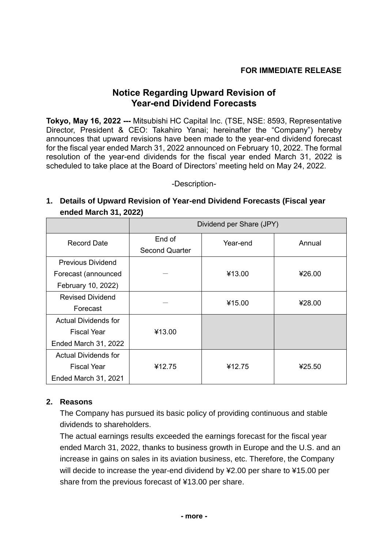## **FOR IMMEDIATE RELEASE**

## **Notice Regarding Upward Revision of Year-end Dividend Forecasts**

**Tokyo, May 16, 2022 ---** Mitsubishi HC Capital Inc. (TSE, NSE: 8593, Representative Director, President & CEO: Takahiro Yanai; hereinafter the "Company") hereby announces that upward revisions have been made to the year-end dividend forecast for the fiscal year ended March 31, 2022 announced on February 10, 2022. The formal resolution of the year-end dividends for the fiscal year ended March 31, 2022 is scheduled to take place at the Board of Directors' meeting held on May 24, 2022.

-Description-

## **1. Details of Upward Revision of Year-end Dividend Forecasts (Fiscal year ended March 31, 2022)**

|                             | Dividend per Share (JPY)        |          |        |
|-----------------------------|---------------------------------|----------|--------|
| <b>Record Date</b>          | End of<br><b>Second Quarter</b> | Year-end | Annual |
| <b>Previous Dividend</b>    |                                 |          |        |
| Forecast (announced         |                                 | ¥13.00   | ¥26.00 |
| February 10, 2022)          |                                 |          |        |
| <b>Revised Dividend</b>     |                                 | ¥15.00   | ¥28.00 |
| Forecast                    |                                 |          |        |
| <b>Actual Dividends for</b> |                                 |          |        |
| <b>Fiscal Year</b>          | ¥13.00                          |          |        |
| Ended March 31, 2022        |                                 |          |        |
| <b>Actual Dividends for</b> |                                 |          |        |
| <b>Fiscal Year</b>          | ¥12.75                          | ¥12.75   | ¥25.50 |
| Ended March 31, 2021        |                                 |          |        |

## **2. Reasons**

The Company has pursued its basic policy of providing continuous and stable dividends to shareholders.

The actual earnings results exceeded the earnings forecast for the fiscal year ended March 31, 2022, thanks to business growth in Europe and the U.S. and an increase in gains on sales in its aviation business, etc. Therefore, the Company will decide to increase the year-end dividend by ¥2.00 per share to ¥15.00 per share from the previous forecast of ¥13.00 per share.